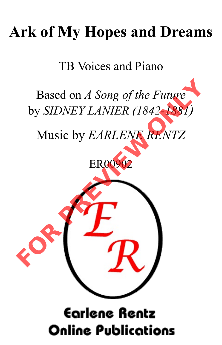## **Ark of My Hopes and Dreams**

TB Voices and Piano

Based on *A Song of the Future* by *SIDNEY LANIER (1842-1881)*

Music by *EARLENE RENTZ*

ER00902



## **Earlene Rentz Online Publications**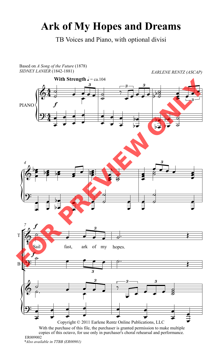## **Ark of My Hopes and Dreams**

TB Voices and Piano, with optional divisi



*<sup>\*</sup>Also available in TTBB (ER00901)* ER009002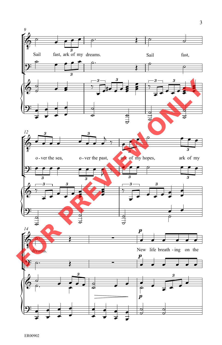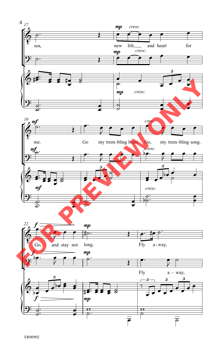